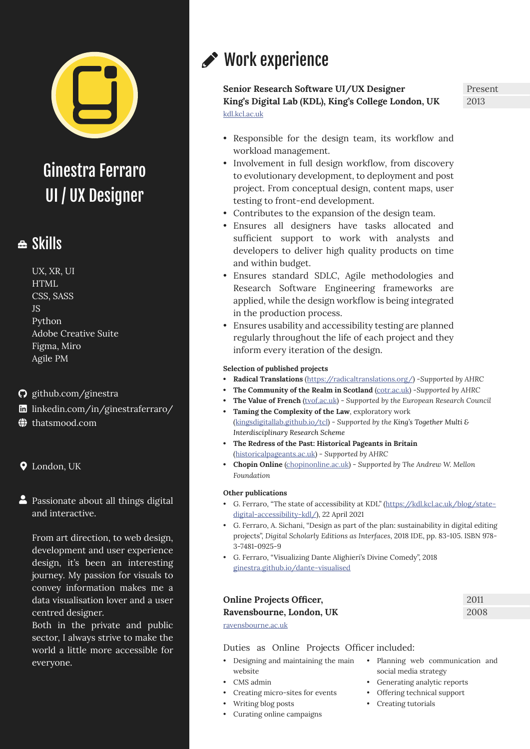

Ginestra Ferraro UI / UX Designer

### ≞ Skills

- UX, XR, UI HTML CSS, SASS JS Python Adobe Creative Suite Figma, Miro Agile PM
- [github.com/ginestra](https://github.com/ginestra)
- [linkedin.com/in/ginestraferraro/](https://linkedin.com/in/ginestraferraro/)
- [thatsmood.com](https://thatsmood.com/)
- London, UK
- **A** Passionate about all things digital and interactive.

From art direction, to web design, development and user experience design, it's been an interesting journey. My passion for visuals to convey information makes me a data visualisation lover and a user centred designer.

Both in the private and public sector, I always strive to make the world a little more accessible for everyone.

# Work experience

**Senior Research Software UI/UX Designer King's Digital Lab (KDL), King's College London, UK** [kdl.kcl.ac.uk](https://kdl.kcl.ac.uk/)

Present 2013

- Responsible for the design team, its workflow and workload management.
- Involvement in full design workflow, from discovery to evolutionary development, to deployment and post project. From conceptual design, content maps, user testing to front-end development.
- Contributes to the expansion of the design team.
- Ensures all designers have tasks allocated and sufficient support to work with analysts and developers to deliver high quality products on time and within budget.
- Ensures standard SDLC, Agile methodologies and Research Software Engineering frameworks are applied, while the design workflow is being integrated in the production process.
- Ensures usability and accessibility testing are planned regularly throughout the life of each project and they inform every iteration of the design.

#### **Selection of published projects**

- **• Radical Translations** ([https://radicaltranslations.org/\)](https://radicaltranslations.org/) -*Supported by AHRC*
- **• The Community of the Realm in Scotland** [\(cotr.ac.uk\)](https://cotr.ac.uk/) -*Supported by AHRC*
- **The Value of French** [\(tvof.ac.uk](https://tvof.ac.uk/)) Supported by the European Research Council
- **• Taming the Complexity of the Law**, exploratory work ([kingsdigitallab.github.io/tcl](https://kingsdigitallab.github.io/tcl/)) - *Supported by the King's Together Multi & Interdisciplinary Research Scheme*
- **• The Redress of the Past: Historical Pageants in Britain** ([historicalpageants.ac.uk](http://historicalpageants.ac.uk/)) - *Supported by AHRC*
- **• Chopin Online** [\(chopinonline.ac.uk\)](http://chopinonline.ac.uk) *Supported by The Andrew W. Mellon Foundation*

#### **Other publications**

- G. Ferraro, "The state of accessibility at KDL" [\(https://kdl.kcl.ac.uk/blog/state](https://kdl.kcl.ac.uk/blog/state-digital-accessibility-kdl/)[digital-accessibility-kdl/](https://kdl.kcl.ac.uk/blog/state-digital-accessibility-kdl/)), 22 April 2021
- G. Ferraro, A. Sichani, "Design as part of the plan: sustainability in digital editing projects", *Digital Scholarly Editions as Interfaces*, 2018 IDE, pp. 83-105. ISBN 978- 3-7481-0925-9
- G. Ferraro, "Visualizing Dante Alighieri's Divine Comedy", 2018 [ginestra.github.io/dante-visualised](https://ginestra.github.io/dante-visualised)

| <b>Online Projects Officer,</b> | 2011 |
|---------------------------------|------|
| Ravensbourne, London, UK        | 2008 |
| ravensbourne.ac.uk              |      |

Duties as Online Projects Officer included:

- Designing and maintaining the main website
- CMS admin
- Creating micro-sites for events
- Writing blog posts
- Curating online campaigns
- Planning web communication and social media strategy
- Generating analytic reports
- Offering technical support
- Creating tutorials